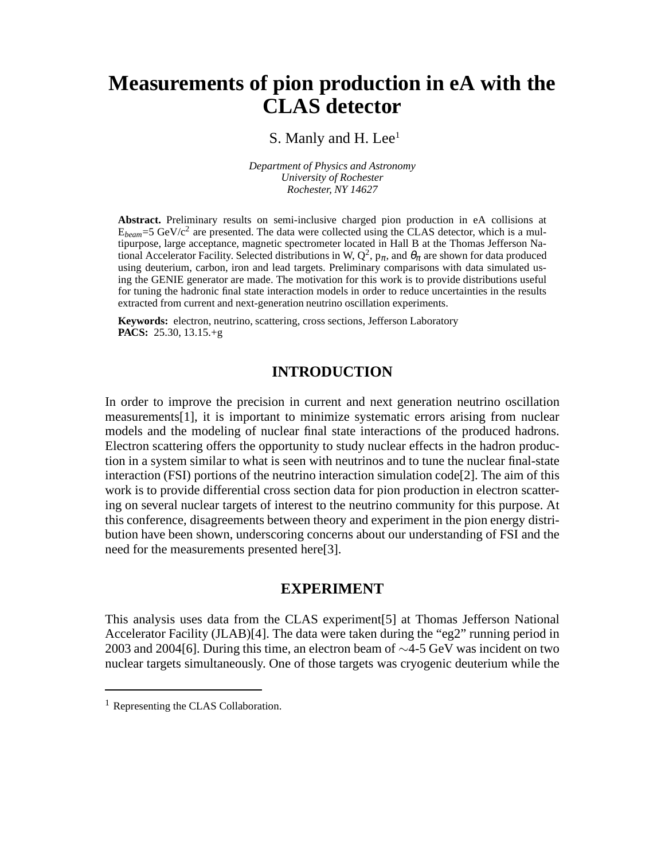# **Measurements of pion production in eA with the CLAS detector**

S. Manly and H. Lee<sup>1</sup>

*Department of Physics and Astronomy University of Rochester Rochester, NY 14627*

**Abstract.** Preliminary results on semi-inclusive charged pion production in eA collisions at  $E_{beam}$ =5 GeV/ $c^2$  are presented. The data were collected using the CLAS detector, which is a multipurpose, large acceptance, magnetic spectrometer located in Hall B at the Thomas Jefferson National Accelerator Facility. Selected distributions in W,  $Q^2$ ,  $p_\pi$ , and  $\theta_\pi$  are shown for data produced using deuterium, carbon, iron and lead targets. Preliminary comparisons with data simulated using the GENIE generator are made. The motivation for this work is to provide distributions useful for tuning the hadronic final state interaction models in order to reduce uncertainties in the results extracted from current and next-generation neutrino oscillation experiments.

**Keywords:** electron, neutrino, scattering, cross sections, Jefferson Laboratory **PACS:** 25.30, 13.15.+g

## **INTRODUCTION**

In order to improve the precision in current and next generation neutrino oscillation measurements[1], it is important to minimize systematic errors arising from nuclear models and the modeling of nuclear final state interactions of the produced hadrons. Electron scattering offers the opportunity to study nuclear effects in the hadron production in a system similar to what is seen with neutrinos and to tune the nuclear final-state interaction (FSI) portions of the neutrino interaction simulation  $\text{code}[2]$ . The aim of this work is to provide differential cross section data for pion production in electron scattering on several nuclear targets of interest to the neutrino community for this purpose. At this conference, disagreements between theory and experiment in the pion energy distribution have been shown, underscoring concerns about our understanding of FSI and the need for the measurements presented here[3].

## **EXPERIMENT**

This analysis uses data from the CLAS experiment[5] at Thomas Jefferson National Accelerator Facility (JLAB)[4]. The data were taken during the "eg2" running period in 2003 and 2004[6]. During this time, an electron beam of ∼4-5 GeV was incident on two nuclear targets simultaneously. One of those targets was cryogenic deuterium while the

<sup>&</sup>lt;sup>1</sup> Representing the CLAS Collaboration.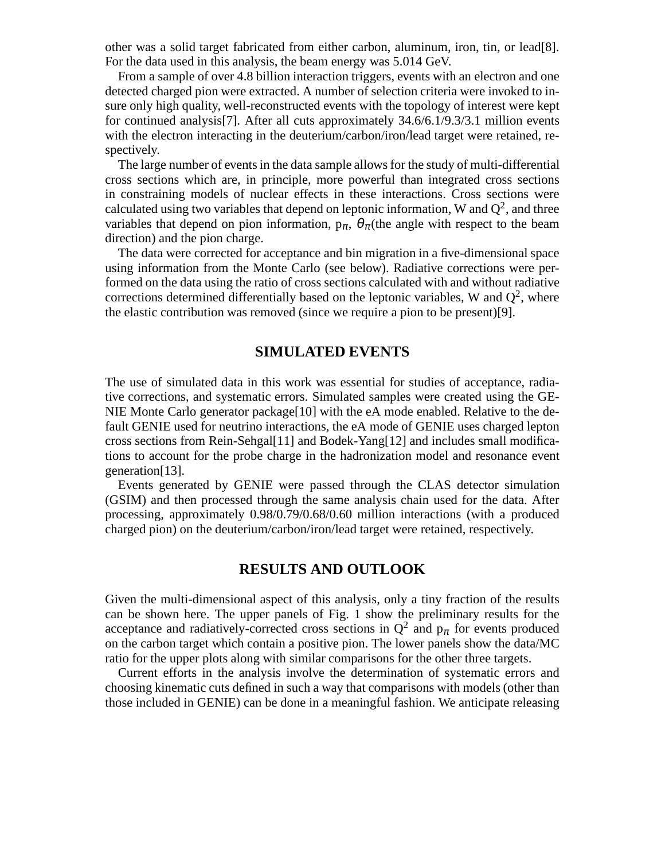other was a solid target fabricated from either carbon, aluminum, iron, tin, or lead[8]. For the data used in this analysis, the beam energy was 5.014 GeV.

From a sample of over 4.8 billion interaction triggers, events with an electron and one detected charged pion were extracted. A number of selection criteria were invoked to insure only high quality, well-reconstructed events with the topology of interest were kept for continued analysis[7]. After all cuts approximately 34.6/6.1/9.3/3.1 million events with the electron interacting in the deuterium/carbon/iron/lead target were retained, respectively.

The large number of events in the data sample allows for the study of multi-differential cross sections which are, in principle, more powerful than integrated cross sections in constraining models of nuclear effects in these interactions. Cross sections were calculated using two variables that depend on leptonic information, W and  $Q^2$ , and three variables that depend on pion information,  $p_{\pi}$ ,  $\theta_{\pi}$  (the angle with respect to the beam direction) and the pion charge.

The data were corrected for acceptance and bin migration in a five-dimensional space using information from the Monte Carlo (see below). Radiative corrections were performed on the data using the ratio of cross sections calculated with and without radiative corrections determined differentially based on the leptonic variables, W and  $Q^2$ , where the elastic contribution was removed (since we require a pion to be present)[9].

#### **SIMULATED EVENTS**

The use of simulated data in this work was essential for studies of acceptance, radiative corrections, and systematic errors. Simulated samples were created using the GE-NIE Monte Carlo generator package[10] with the eA mode enabled. Relative to the default GENIE used for neutrino interactions, the eA mode of GENIE uses charged lepton cross sections from Rein-Sehgal[11] and Bodek-Yang[12] and includes small modifications to account for the probe charge in the hadronization model and resonance event generation[13].

Events generated by GENIE were passed through the CLAS detector simulation (GSIM) and then processed through the same analysis chain used for the data. After processing, approximately 0.98/0.79/0.68/0.60 million interactions (with a produced charged pion) on the deuterium/carbon/iron/lead target were retained, respectively.

## **RESULTS AND OUTLOOK**

Given the multi-dimensional aspect of this analysis, only a tiny fraction of the results can be shown here. The upper panels of Fig. 1 show the preliminary results for the acceptance and radiatively-corrected cross sections in  $Q^2$  and  $p_\pi$  for events produced on the carbon target which contain a positive pion. The lower panels show the data/MC ratio for the upper plots along with similar comparisons for the other three targets.

Current efforts in the analysis involve the determination of systematic errors and choosing kinematic cuts defined in such a way that comparisons with models (other than those included in GENIE) can be done in a meaningful fashion. We anticipate releasing